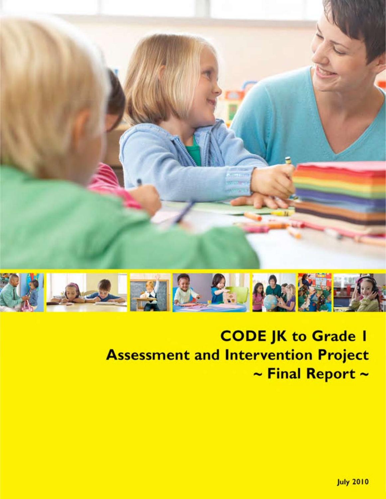



# **CODE JK to Grade I Assessment and Intervention Project**  $\sim$  Final Report  $\sim$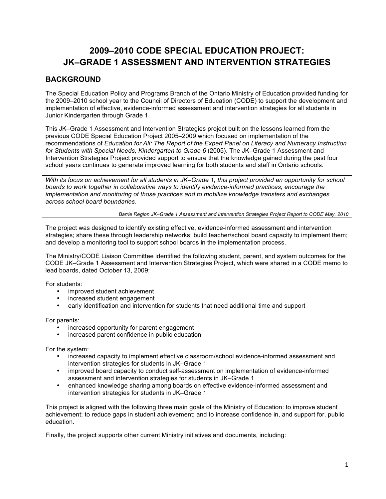# **2009–2010 CODE SPECIAL EDUCATION PROJECT: JK–GRADE 1 ASSESSMENT AND INTERVENTION STRATEGIES**

# **BACKGROUND**

The Special Education Policy and Programs Branch of the Ontario Ministry of Education provided funding for the 2009–2010 school year to the Council of Directors of Education (CODE) to support the development and implementation of effective, evidence-informed assessment and intervention strategies for all students in Junior Kindergarten through Grade 1.

This JK–Grade 1 Assessment and Intervention Strategies project built on the lessons learned from the previous CODE Special Education Project 2005–2009 which focused on implementation of the recommendations of *Education for All: The Report of the Expert Panel on Literacy and Numeracy Instruction for Students with Special Needs, Kindergarten to Grade 6* (2005). The JK–Grade 1 Assessment and Intervention Strategies Project provided support to ensure that the knowledge gained during the past four school years continues to generate improved learning for both students and staff in Ontario schools.

*With its focus on achievement for all students in JK–Grade 1, this project provided an opportunity for school boards to work together in collaborative ways to identify evidence-informed practices, encourage the implementation and monitoring of those practices and to mobilize knowledge transfers and exchanges across school board boundaries.* 

*Barrie Region JK–Grade 1 Assessment and Intervention Strategies Project Report to CODE May, 2010*

The project was designed to identify existing effective, evidence-informed assessment and intervention strategies; share these through leadership networks; build teacher/school board capacity to implement them; and develop a monitoring tool to support school boards in the implementation process.

The Ministry/CODE Liaison Committee identified the following student, parent, and system outcomes for the CODE JK–Grade 1 Assessment and Intervention Strategies Project, which were shared in a CODE memo to lead boards, dated October 13, 2009:

For students:

- improved student achievement
- increased student engagement
- early identification and intervention for students that need additional time and support

For parents:

- increased opportunity for parent engagement
- increased parent confidence in public education

For the system:

- increased capacity to implement effective classroom/school evidence-informed assessment and intervention strategies for students in JK–Grade 1
- improved board capacity to conduct self-assessment on implementation of evidence-informed assessment and intervention strategies for students in JK–Grade 1
- enhanced knowledge sharing among boards on effective evidence-informed assessment and intervention strategies for students in JK–Grade 1

This project is aligned with the following three main goals of the Ministry of Education: to improve student achievement; to reduce gaps in student achievement; and to increase confidence in, and support for, public education.

Finally, the project supports other current Ministry initiatives and documents, including: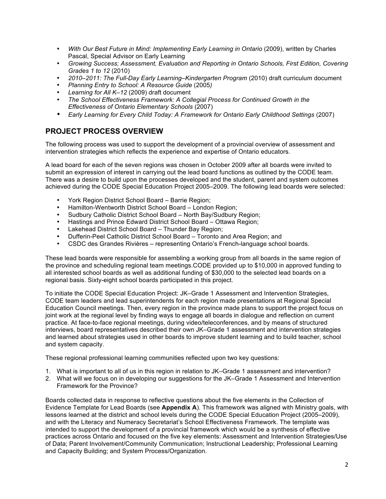- With Our Best Future in Mind: Implementing Early Learning in Ontario (2009), written by Charles Pascal, Special Advisor on Early Learning
- *Growing Success; Assessment, Evaluation and Reporting in Ontario Schools, First Edition, Covering Grades 1 to 12* (2010)
- *2010–2011: The Full-Day Early Learning–Kindergarten Program* (2010) draft curriculum document
- *Planning Entry to School: A Resource Guide* (2005*)*
- *Learning for All K–12* (2009) draft document
- *The School Effectiveness Framework: A Collegial Process for Continued Growth in the Effectiveness of Ontario Elementary Schools* (2007)
- *Early Learning for Every Child Today: A Framework for Ontario Early Childhood Settings* (2007)

# **PROJECT PROCESS OVERVIEW**

The following process was used to support the development of a provincial overview of assessment and intervention strategies which reflects the experience and expertise of Ontario educators.

A lead board for each of the seven regions was chosen in October 2009 after all boards were invited to submit an expression of interest in carrying out the lead board functions as outlined by the CODE team. There was a desire to build upon the processes developed and the student, parent and system outcomes achieved during the CODE Special Education Project 2005–2009. The following lead boards were selected:

- York Region District School Board Barrie Region;
- Hamilton-Wentworth District School Board London Region;
- Sudbury Catholic District School Board North Bay/Sudbury Region;
- Hastings and Prince Edward District School Board Ottawa Region;
- Lakehead District School Board Thunder Bay Region;
- Dufferin-Peel Catholic District School Board Toronto and Area Region; and
- CSDC des Grandes Rivières representing Ontario's French-language school boards.

These lead boards were responsible for assembling a working group from all boards in the same region of the province and scheduling regional team meetings.CODE provided up to \$10,000 in approved funding to all interested school boards as well as additional funding of \$30,000 to the selected lead boards on a regional basis. Sixty-eight school boards participated in this project.

To initiate the CODE Special Education Project: JK–Grade 1 Assessment and Intervention Strategies, CODE team leaders and lead superintendents for each region made presentations at Regional Special Education Council meetings. Then, every region in the province made plans to support the project focus on joint work at the regional level by finding ways to engage all boards in dialogue and reflection on current practice. At face-to-face regional meetings, during video/teleconferences, and by means of structured interviews, board representatives described their own JK–Grade 1 assessment and intervention strategies and learned about strategies used in other boards to improve student learning and to build teacher, school and system capacity.

These regional professional learning communities reflected upon two key questions:

- 1. What is important to all of us in this region in relation to JK–Grade 1 assessment and intervention?
- 2. What will we focus on in developing our suggestions for the JK–Grade 1 Assessment and Intervention Framework for the Province?

Boards collected data in response to reflective questions about the five elements in the Collection of Evidence Template for Lead Boards (see **Appendix A**). This framework was aligned with Ministry goals, with lessons learned at the district and school levels during the CODE Special Education Project (2005–2009), and with the Literacy and Numeracy Secretariat's School Effectiveness Framework. The template was intended to support the development of a provincial framework which would be a synthesis of effective practices across Ontario and focused on the five key elements: Assessment and Intervention Strategies/Use of Data; Parent Involvement/Community Communication; Instructional Leadership; Professional Learning and Capacity Building; and System Process/Organization.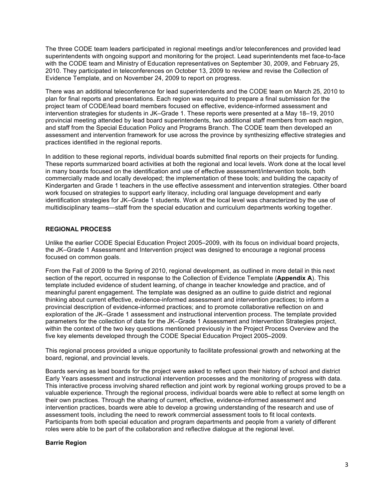The three CODE team leaders participated in regional meetings and/or teleconferences and provided lead superintendents with ongoing support and monitoring for the project. Lead superintendents met face-to-face with the CODE team and Ministry of Education representatives on September 30, 2009, and February 25, 2010. They participated in teleconferences on October 13, 2009 to review and revise the Collection of Evidence Template, and on November 24, 2009 to report on progress.

There was an additional teleconference for lead superintendents and the CODE team on March 25, 2010 to plan for final reports and presentations. Each region was required to prepare a final submission for the project team of CODE/lead board members focused on effective, evidence-informed assessment and intervention strategies for students in JK–Grade 1. These reports were presented at a May 18–19, 2010 provincial meeting attended by lead board superintendents, two additional staff members from each region, and staff from the Special Education Policy and Programs Branch. The CODE team then developed an assessment and intervention framework for use across the province by synthesizing effective strategies and practices identified in the regional reports.

In addition to these regional reports, individual boards submitted final reports on their projects for funding. These reports summarized board activities at both the regional and local levels. Work done at the local level in many boards focused on the identification and use of effective assessment/intervention tools, both commercially made and locally developed; the implementation of these tools; and building the capacity of Kindergarten and Grade 1 teachers in the use effective assessment and intervention strategies. Other board work focused on strategies to support early literacy, including oral language development and early identification strategies for JK–Grade 1 students. Work at the local level was characterized by the use of multidisciplinary teams—staff from the special education and curriculum departments working together.

## **REGIONAL PROCESS**

Unlike the earlier CODE Special Education Project 2005–2009, with its focus on individual board projects, the JK–Grade 1 Assessment and Intervention project was designed to encourage a regional process focused on common goals.

From the Fall of 2009 to the Spring of 2010, regional development, as outlined in more detail in this next section of the report, occurred in response to the Collection of Evidence Template (**Appendix A**). This template included evidence of student learning, of change in teacher knowledge and practice, and of meaningful parent engagement. The template was designed as an outline to guide district and regional thinking about current effective, evidence-informed assessment and intervention practices; to inform a provincial description of evidence-informed practices; and to promote collaborative reflection on and exploration of the JK–Grade 1 assessment and instructional intervention process. The template provided parameters for the collection of data for the JK–Grade 1 Assessment and Intervention Strategies project, within the context of the two key questions mentioned previously in the Project Process Overview and the five key elements developed through the CODE Special Education Project 2005–2009.

This regional process provided a unique opportunity to facilitate professional growth and networking at the board, regional, and provincial levels.

Boards serving as lead boards for the project were asked to reflect upon their history of school and district Early Years assessment and instructional intervention processes and the monitoring of progress with data. This interactive process involving shared reflection and joint work by regional working groups proved to be a valuable experience. Through the regional process, individual boards were able to reflect at some length on their own practices. Through the sharing of current, effective, evidence-informed assessment and intervention practices, boards were able to develop a growing understanding of the research and use of assessment tools, including the need to rework commercial assessment tools to fit local contexts. Participants from both special education and program departments and people from a variety of different roles were able to be part of the collaboration and reflective dialogue at the regional level.

## **Barrie Region**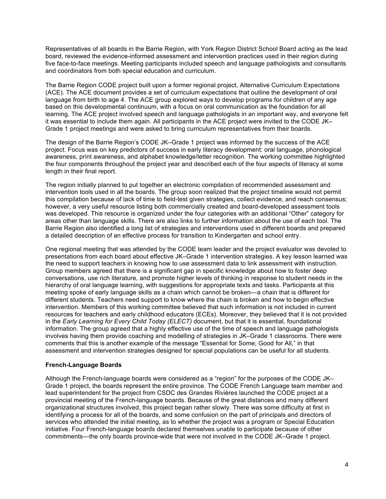Representatives of all boards in the Barrie Region, with York Region District School Board acting as the lead board, reviewed the evidence-informed assessment and intervention practices used in their region during five face-to-face meetings. Meeting participants included speech and language pathologists and consultants and coordinators from both special education and curriculum.

The Barrie Region CODE project built upon a former regional project, Alternative Curriculum Expectations (ACE). The ACE document provides a set of curriculum expectations that outline the development of oral language from birth to age 4. The ACE group explored ways to develop programs for children of any age based on this developmental continuum, with a focus on oral communication as the foundation for all learning. The ACE project involved speech and language pathologists in an important way, and everyone felt it was essential to include them again. All participants in the ACE project were invited to the CODE JK– Grade 1 project meetings and were asked to bring curriculum representatives from their boards.

The design of the Barrie Region's CODE JK–Grade 1 project was informed by the success of the ACE project. Focus was on key predictors of success in early literacy development: oral language, phonological awareness, print awareness, and alphabet knowledge/letter recognition. The working committee highlighted the four components throughout the project year and described each of the four aspects of literacy at some length in their final report.

The region initially planned to put together an electronic compilation of recommended assessment and intervention tools used in all the boards. The group soon realized that the project timeline would not permit this compilation because of lack of time to field-test given strategies, collect evidence, and reach consensus; however, a very useful resource listing both commercially created and board-developed assessment tools was developed. This resource is organized under the four categories with an additional "Other" category for areas other than language skills. There are also links to further information about the use of each tool. The Barrie Region also identified a long list of strategies and interventions used in different boards and prepared a detailed description of an effective process for transition to Kindergarten and school entry.

One regional meeting that was attended by the CODE team leader and the project evaluator was devoted to presentations from each board about effective JK–Grade 1 intervention strategies. A key lesson learned was the need to support teachers in knowing how to use assessment data to link assessment with instruction. Group members agreed that there is a significant gap in specific knowledge about how to foster deep conversations, use rich literature, and promote higher levels of thinking in response to student needs in the hierarchy of oral language learning, with suggestions for appropriate texts and tasks. Participants at this meeting spoke of early language skills as a chain which cannot be broken—a chain that is different for different students. Teachers need support to know where the chain is broken and how to begin effective intervention. Members of this working committee believed that such information is not included in current resources for teachers and early childhood educators (ECEs). Moreover, they believed that it is not provided in the *Early Learning for Every Child Today (ELECT)* document, but that it is essential, foundational information. The group agreed that a highly effective use of the time of speech and language pathologists involves having them provide coaching and modelling of strategies in JK–Grade 1 classrooms. There were comments that this is another example of the message "Essential for Some; Good for All," in that assessment and intervention strategies designed for special populations can be useful for all students.

#### **French-Language Boards**

Although the French-language boards were considered as a "region" for the purposes of the CODE JK– Grade 1 project, the boards represent the entire province. The CODE French Language team member and lead superintendent for the project from CSDC des Grandes Rivières launched the CODE project at a provincial meeting of the French-language boards. Because of the great distances and many different organizational structures involved, this project began rather slowly. There was some difficulty at first in identifying a process for all of the boards, and some confusion on the part of principals and directors of services who attended the initial meeting, as to whether the project was a program or Special Education initiative. Four French-language boards declared themselves unable to participate because of other commitments—the only boards province-wide that were not involved in the CODE JK–Grade 1 project.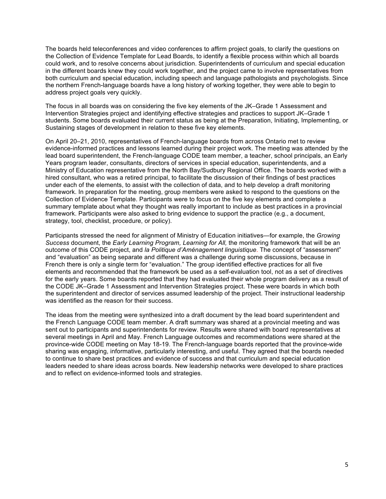The boards held teleconferences and video conferences to affirm project goals, to clarify the questions on the Collection of Evidence Template for Lead Boards, to identify a flexible process within which all boards could work, and to resolve concerns about jurisdiction. Superintendents of curriculum and special education in the different boards knew they could work together, and the project came to involve representatives from both curriculum and special education, including speech and language pathologists and psychologists. Since the northern French-language boards have a long history of working together, they were able to begin to address project goals very quickly.

The focus in all boards was on considering the five key elements of the JK–Grade 1 Assessment and Intervention Strategies project and identifying effective strategies and practices to support JK–Grade 1 students. Some boards evaluated their current status as being at the Preparation, Initiating, Implementing, or Sustaining stages of development in relation to these five key elements.

On April 20–21, 2010, representatives of French-language boards from across Ontario met to review evidence-informed practices and lessons learned during their project work. The meeting was attended by the lead board superintendent, the French-language CODE team member, a teacher, school principals, an Early Years program leader, consultants, directors of services in special education, superintendents, and a Ministry of Education representative from the North Bay/Sudbury Regional Office. The boards worked with a hired consultant, who was a retired principal, to facilitate the discussion of their findings of best practices under each of the elements, to assist with the collection of data, and to help develop a draft monitoring framework. In preparation for the meeting, group members were asked to respond to the questions on the Collection of Evidence Template. Participants were to focus on the five key elements and complete a summary template about what they thought was really important to include as best practices in a provincial framework. Participants were also asked to bring evidence to support the practice (e.g., a document, strategy, tool, checklist, procedure, or policy).

Participants stressed the need for alignment of Ministry of Education initiatives—for example, the *Growing Success* document, the *Early Learning Program, Learning for All,* the monitoring framework that will be an outcome of this CODE project, and *la Politique d'Aménagement linguistique*. The concept of "assessment" and "evaluation" as being separate and different was a challenge during some discussions, because in French there is only a single term for "evaluation." The group identified effective practices for all five elements and recommended that the framework be used as a self-evaluation tool, not as a set of directives for the early years. Some boards reported that they had evaluated their whole program delivery as a result of the CODE JK–Grade 1 Assessment and Intervention Strategies project. These were boards in which both the superintendent and director of services assumed leadership of the project. Their instructional leadership was identified as the reason for their success.

The ideas from the meeting were synthesized into a draft document by the lead board superintendent and the French Language CODE team member. A draft summary was shared at a provincial meeting and was sent out to participants and superintendents for review. Results were shared with board representatives at several meetings in April and May. French Language outcomes and recommendations were shared at the province-wide CODE meeting on May 18-19. The French-language boards reported that the province-wide sharing was engaging, informative, particularly interesting, and useful. They agreed that the boards needed to continue to share best practices and evidence of success and that curriculum and special education leaders needed to share ideas across boards. New leadership networks were developed to share practices and to reflect on evidence-informed tools and strategies.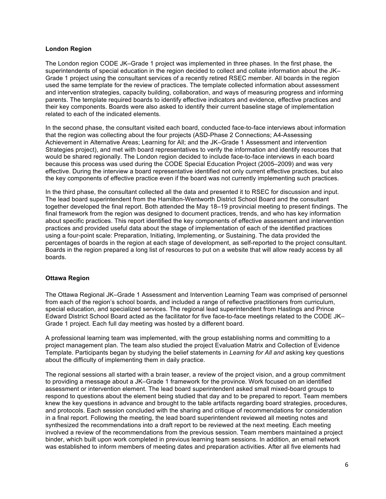## **London Region**

The London region CODE JK–Grade 1 project was implemented in three phases. In the first phase, the superintendents of special education in the region decided to collect and collate information about the JK– Grade 1 project using the consultant services of a recently retired RSEC member. All boards in the region used the same template for the review of practices. The template collected information about assessment and intervention strategies, capacity building, collaboration, and ways of measuring progress and informing parents. The template required boards to identify effective indicators and evidence, effective practices and their key components. Boards were also asked to identify their current baseline stage of implementation related to each of the indicated elements.

In the second phase, the consultant visited each board, conducted face-to-face interviews about information that the region was collecting about the four projects (ASD-Phase 2 Connections; A4-Assessing Achievement in Alternative Areas; Learning for All; and the JK–Grade 1 Assessment and intervention Strategies project), and met with board representatives to verify the information and identify resources that would be shared regionally. The London region decided to include face-to-face interviews in each board because this process was used during the CODE Special Education Project (2005–2009) and was very effective. During the interview a board representative identified not only current effective practices, but also the key components of effective practice even if the board was not currently implementing such practices.

In the third phase, the consultant collected all the data and presented it to RSEC for discussion and input. The lead board superintendent from the Hamilton-Wentworth District School Board and the consultant together developed the final report. Both attended the May 18–19 provincial meeting to present findings. The final framework from the region was designed to document practices, trends, and who has key information about specific practices. This report identified the key components of effective assessment and intervention practices and provided useful data about the stage of implementation of each of the identified practices using a four-point scale: Preparation, Initiating, Implementing, or Sustaining. The data provided the percentages of boards in the region at each stage of development, as self-reported to the project consultant. Boards in the region prepared a long list of resources to put on a website that will allow ready access by all boards.

#### **Ottawa Region**

The Ottawa Regional JK–Grade 1 Assessment and Intervention Learning Team was comprised of personnel from each of the region's school boards, and included a range of reflective practitioners from curriculum, special education, and specialized services. The regional lead superintendent from Hastings and Prince Edward District School Board acted as the facilitator for five face-to-face meetings related to the CODE JK– Grade 1 project. Each full day meeting was hosted by a different board.

A professional learning team was implemented, with the group establishing norms and committing to a project management plan. The team also studied the project Evaluation Matrix and Collection of Evidence Template. Participants began by studying the belief statements in *Learning for All and* asking key questions about the difficulty of implementing them in daily practice.

The regional sessions all started with a brain teaser, a review of the project vision, and a group commitment to providing a message about a JK–Grade 1 framework for the province. Work focused on an identified assessment or intervention element. The lead board superintendent asked small mixed-board groups to respond to questions about the element being studied that day and to be prepared to report. Team members knew the key questions in advance and brought to the table artifacts regarding board strategies, procedures, and protocols. Each session concluded with the sharing and critique of recommendations for consideration in a final report. Following the meeting, the lead board superintendent reviewed all meeting notes and synthesized the recommendations into a draft report to be reviewed at the next meeting. Each meeting involved a review of the recommendations from the previous session. Team members maintained a project binder, which built upon work completed in previous learning team sessions. In addition, an email network was established to inform members of meeting dates and preparation activities. After all five elements had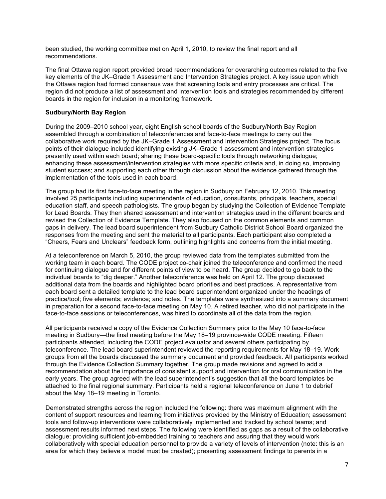been studied, the working committee met on April 1, 2010, to review the final report and all recommendations.

The final Ottawa region report provided broad recommendations for overarching outcomes related to the five key elements of the JK–Grade 1 Assessment and Intervention Strategies project. A key issue upon which the Ottawa region had formed consensus was that screening tools and entry processes are critical. The region did not produce a list of assessment and intervention tools and strategies recommended by different boards in the region for inclusion in a monitoring framework.

## **Sudbury/North Bay Region**

During the 2009–2010 school year, eight English school boards of the Sudbury/North Bay Region assembled through a combination of teleconferences and face-to-face meetings to carry out the collaborative work required by the JK–Grade 1 Assessment and Intervention Strategies project. The focus points of their dialogue included identifying existing JK–Grade 1 assessment and intervention strategies presently used within each board; sharing these board-specific tools through networking dialogue; enhancing these assessment/intervention strategies with more specific criteria and, in doing so, improving student success; and supporting each other through discussion about the evidence gathered through the implementation of the tools used in each board.

The group had its first face-to-face meeting in the region in Sudbury on February 12, 2010. This meeting involved 25 participants including superintendents of education, consultants, principals, teachers, special education staff, and speech pathologists. The group began by studying the Collection of Evidence Template for Lead Boards*.* They then shared assessment and intervention strategies used in the different boards and revised the Collection of Evidence Template. They also focused on the common elements and common gaps in delivery. The lead board superintendent from Sudbury Catholic District School Board organized the responses from the meeting and sent the material to all participants. Each participant also completed a "Cheers, Fears and Unclears" feedback form, outlining highlights and concerns from the initial meeting.

At a teleconference on March 5, 2010, the group reviewed data from the templates submitted from the working team in each board. The CODE project co-chair joined the teleconference and confirmed the need for continuing dialogue and for different points of view to be heard. The group decided to go back to the individual boards to "dig deeper." Another teleconference was held on April 12. The group discussed additional data from the boards and highlighted board priorities and best practices. A representative from each board sent a detailed template to the lead board superintendent organized under the headings of practice/tool; five elements; evidence; and notes. The templates were synthesized into a summary document in preparation for a second face-to-face meeting on May 10. A retired teacher, who did not participate in the face-to-face sessions or teleconferences, was hired to coordinate all of the data from the region.

All participants received a copy of the Evidence Collection Summary prior to the May 10 face-to-face meeting in Sudbury—the final meeting before the May 18–19 province-wide CODE meeting. Fifteen participants attended, including the CODE project evaluator and several others participating by teleconference. The lead board superintendent reviewed the reporting requirements for May 18–19. Work groups from all the boards discussed the summary document and provided feedback. All participants worked through the Evidence Collection Summary together. The group made revisions and agreed to add a recommendation about the importance of consistent support and intervention for oral communication in the early years. The group agreed with the lead superintendent's suggestion that all the board templates be attached to the final regional summary. Participants held a regional teleconference on June 1 to debrief about the May 18–19 meeting in Toronto.

Demonstrated strengths across the region included the following: there was maximum alignment with the content of support resources and learning from initiatives provided by the Ministry of Education; assessment tools and follow-up interventions were collaboratively implemented and tracked by school teams; and assessment results informed next steps. The following were identified as gaps as a result of the collaborative dialogue: providing sufficient job-embedded training to teachers and assuring that they would work collaboratively with special education personnel to provide a variety of levels of intervention (note: this is an area for which they believe a model must be created); presenting assessment findings to parents in a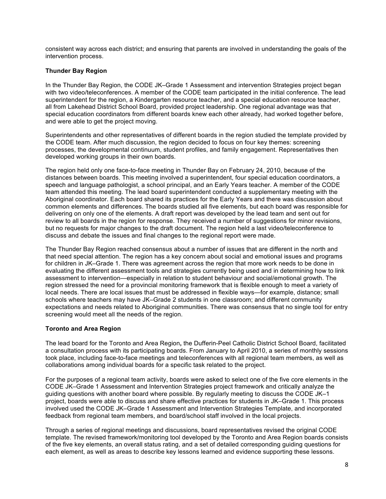consistent way across each district; and ensuring that parents are involved in understanding the goals of the intervention process.

## **Thunder Bay Region**

In the Thunder Bay Region, the CODE JK–Grade 1 Assessment and intervention Strategies project began with two video/teleconferences. A member of the CODE team participated in the initial conference. The lead superintendent for the region, a Kindergarten resource teacher, and a special education resource teacher, all from Lakehead District School Board, provided project leadership. One regional advantage was that special education coordinators from different boards knew each other already, had worked together before, and were able to get the project moving.

Superintendents and other representatives of different boards in the region studied the template provided by the CODE team. After much discussion, the region decided to focus on four key themes: screening processes, the developmental continuum, student profiles, and family engagement. Representatives then developed working groups in their own boards.

The region held only one face-to-face meeting in Thunder Bay on February 24, 2010, because of the distances between boards. This meeting involved a superintendent, four special education coordinators, a speech and language pathologist, a school principal, and an Early Years teacher. A member of the CODE team attended this meeting. The lead board superintendent conducted a supplementary meeting with the Aboriginal coordinator. Each board shared its practices for the Early Years and there was discussion about common elements and differences. The boards studied all five elements, but each board was responsible for delivering on only one of the elements. A draft report was developed by the lead team and sent out for review to all boards in the region for response. They received a number of suggestions for minor revisions, but no requests for major changes to the draft document. The region held a last video/teleconference to discuss and debate the issues and final changes to the regional report were made.

The Thunder Bay Region reached consensus about a number of issues that are different in the north and that need special attention. The region has a key concern about social and emotional issues and programs for children in JK–Grade 1. There was agreement across the region that more work needs to be done in evaluating the different assessment tools and strategies currently being used and in determining how to link assessment to intervention—especially in relation to student behaviour and social/emotional growth. The region stressed the need for a provincial monitoring framework that is flexible enough to meet a variety of local needs. There are local issues that must be addressed in flexible ways—for example, distance; small schools where teachers may have JK–Grade 2 students in one classroom; and different community expectations and needs related to Aboriginal communities. There was consensus that no single tool for entry screening would meet all the needs of the region.

## **Toronto and Area Region**

The lead board for the Toronto and Area Region**,** the Dufferin-Peel Catholic District School Board, facilitated a consultation process with its participating boards. From January to April 2010, a series of monthly sessions took place, including face-to-face meetings and teleconferences with all regional team members, as well as collaborations among individual boards for a specific task related to the project.

For the purposes of a regional team activity, boards were asked to select one of the five core elements in the CODE JK–Grade 1 Assessment and Intervention Strategies project framework and critically analyze the guiding questions with another board where possible. By regularly meeting to discuss the CODE JK–1 project, boards were able to discuss and share effective practices for students in JK–Grade 1. This process involved used the CODE JK–Grade 1 Assessment and Intervention Strategies Template, and incorporated feedback from regional team members, and board/school staff involved in the local projects.

Through a series of regional meetings and discussions, board representatives revised the original CODE template. The revised framework/monitoring tool developed by the Toronto and Area Region boards consists of the five key elements, an overall status rating, and a set of detailed corresponding guiding questions for each element, as well as areas to describe key lessons learned and evidence supporting these lessons.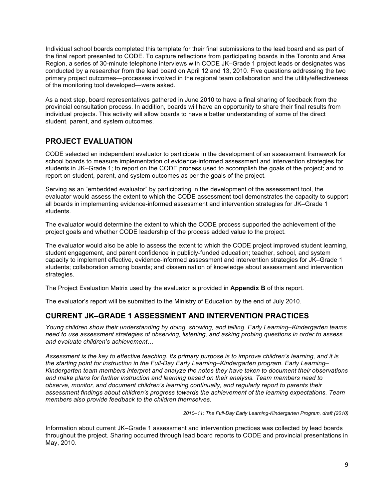Individual school boards completed this template for their final submissions to the lead board and as part of the final report presented to CODE. To capture reflections from participating boards in the Toronto and Area Region, a series of 30-minute telephone interviews with CODE JK–Grade 1 project leads or designates was conducted by a researcher from the lead board on April 12 and 13, 2010. Five questions addressing the two primary project outcomes—processes involved in the regional team collaboration and the utility/effectiveness of the monitoring tool developed—were asked.

As a next step, board representatives gathered in June 2010 to have a final sharing of feedback from the provincial consultation process. In addition, boards will have an opportunity to share their final results from individual projects. This activity will allow boards to have a better understanding of some of the direct student, parent, and system outcomes.

# **PROJECT EVALUATION**

CODE selected an independent evaluator to participate in the development of an assessment framework for school boards to measure implementation of evidence-informed assessment and intervention strategies for students in JK–Grade 1; to report on the CODE process used to accomplish the goals of the project; and to report on student, parent, and system outcomes as per the goals of the project.

Serving as an "embedded evaluator" by participating in the development of the assessment tool, the evaluator would assess the extent to which the CODE assessment tool demonstrates the capacity to support all boards in implementing evidence-informed assessment and intervention strategies for JK–Grade 1 students.

The evaluator would determine the extent to which the CODE process supported the achievement of the project goals and whether CODE leadership of the process added value to the project.

The evaluator would also be able to assess the extent to which the CODE project improved student learning, student engagement, and parent confidence in publicly-funded education; teacher, school, and system capacity to implement effective, evidence-informed assessment and intervention strategies for JK–Grade 1 students; collaboration among boards; and dissemination of knowledge about assessment and intervention strategies.

The Project Evaluation Matrix used by the evaluator is provided in **Appendix B** of this report.

The evaluator's report will be submitted to the Ministry of Education by the end of July 2010.

# **CURRENT JK–GRADE 1 ASSESSMENT AND INTERVENTION PRACTICES**

*Young children show their understanding by doing, showing, and telling. Early Learning–Kindergarten teams need to use assessment strategies of observing, listening, and asking probing questions in order to assess and evaluate children's achievement…*

*Assessment is the key to effective teaching. Its primary purpose is to improve children's learning, and it is the starting point for instruction in the Full-Day Early Learning–Kindergarten program. Early Learning– Kindergarten team members interpret and analyze the notes they have taken to document their observations and make plans for further instruction and learning based on their analysis. Team members need to observe, monitor, and document children's learning continually, and regularly report to parents their assessment findings about children's progress towards the achievement of the learning expectations. Team members also provide feedback to the children themselves.*

*2010–11: The Full-Day Early Learning-Kindergarten Program, draft (2010)*

Information about current JK–Grade 1 assessment and intervention practices was collected by lead boards throughout the project. Sharing occurred through lead board reports to CODE and provincial presentations in May, 2010.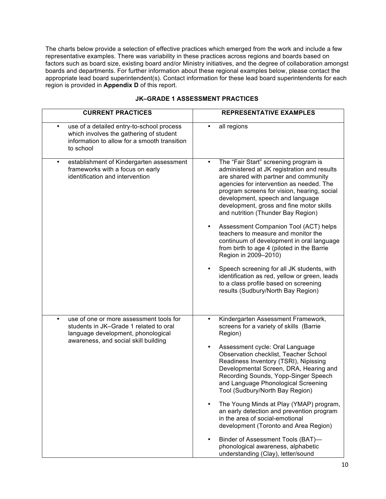The charts below provide a selection of effective practices which emerged from the work and include a few representative examples. There was variability in these practices across regions and boards based on factors such as board size, existing board and/or Ministry initiatives, and the degree of collaboration amongst boards and departments. For further information about these regional examples below, please contact the appropriate lead board superintendent(s). Contact information for these lead board superintendents for each region is provided in **Appendix D** of this report.

| <b>CURRENT PRACTICES</b>                                                                                                                                             | <b>REPRESENTATIVE EXAMPLES</b>                                                                                                                                                                                                                                                                                                                                                                                                                                                                                                                                                                                                                                                                                                                                         |
|----------------------------------------------------------------------------------------------------------------------------------------------------------------------|------------------------------------------------------------------------------------------------------------------------------------------------------------------------------------------------------------------------------------------------------------------------------------------------------------------------------------------------------------------------------------------------------------------------------------------------------------------------------------------------------------------------------------------------------------------------------------------------------------------------------------------------------------------------------------------------------------------------------------------------------------------------|
| use of a detailed entry-to-school process<br>٠<br>which involves the gathering of student<br>information to allow for a smooth transition<br>to school               | all regions                                                                                                                                                                                                                                                                                                                                                                                                                                                                                                                                                                                                                                                                                                                                                            |
| establishment of Kindergarten assessment<br>٠<br>frameworks with a focus on early<br>identification and intervention                                                 | The "Fair Start" screening program is<br>$\bullet$<br>administered at JK registration and results<br>are shared with partner and community<br>agencies for intervention as needed. The<br>program screens for vision, hearing, social<br>development, speech and language<br>development, gross and fine motor skills<br>and nutrition (Thunder Bay Region)<br>Assessment Companion Tool (ACT) helps<br>$\bullet$<br>teachers to measure and monitor the<br>continuum of development in oral language<br>from birth to age 4 (piloted in the Barrie<br>Region in 2009-2010)<br>Speech screening for all JK students, with<br>$\bullet$<br>identification as red, yellow or green, leads<br>to a class profile based on screening<br>results (Sudbury/North Bay Region) |
| use of one or more assessment tools for<br>٠<br>students in JK-Grade 1 related to oral<br>language development, phonological<br>awareness, and social skill building | Kindergarten Assessment Framework,<br>$\bullet$<br>screens for a variety of skills (Barrie<br>Region)<br>Assessment cycle: Oral Language<br>$\bullet$<br>Observation checklist, Teacher School<br>Readiness Inventory (TSRI), Nipissing<br>Developmental Screen, DRA, Hearing and<br>Recording Sounds, Yopp-Singer Speech<br>and Language Phonological Screening<br>Tool (Sudbury/North Bay Region)<br>The Young Minds at Play (YMAP) program,<br>an early detection and prevention program<br>in the area of social-emotional<br>development (Toronto and Area Region)<br>Binder of Assessment Tools (BAT)-<br>$\bullet$<br>phonological awareness, alphabetic<br>understanding (Clay), letter/sound                                                                  |

## **JK–GRADE 1 ASSESSMENT PRACTICES**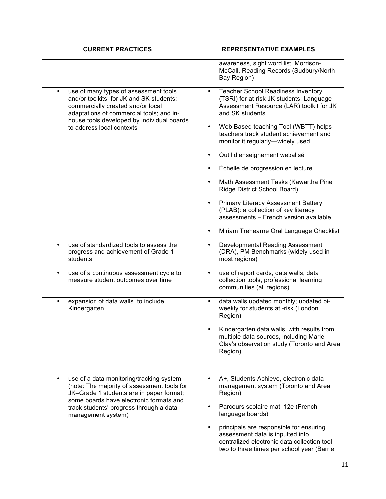| <b>CURRENT PRACTICES</b>                                                                                                                                                                                                                                     | <b>REPRESENTATIVE EXAMPLES</b>                                                                                                                                                                                                                                                                                                                                                                                                                                                                                                                                                                                                                                     |
|--------------------------------------------------------------------------------------------------------------------------------------------------------------------------------------------------------------------------------------------------------------|--------------------------------------------------------------------------------------------------------------------------------------------------------------------------------------------------------------------------------------------------------------------------------------------------------------------------------------------------------------------------------------------------------------------------------------------------------------------------------------------------------------------------------------------------------------------------------------------------------------------------------------------------------------------|
|                                                                                                                                                                                                                                                              | awareness, sight word list, Morrison-<br>McCall, Reading Records (Sudbury/North<br>Bay Region)                                                                                                                                                                                                                                                                                                                                                                                                                                                                                                                                                                     |
| use of many types of assessment tools<br>$\bullet$<br>and/or toolkits for JK and SK students;<br>commercially created and/or local<br>adaptations of commercial tools; and in-<br>house tools developed by individual boards<br>to address local contexts    | <b>Teacher School Readiness Inventory</b><br>$\bullet$<br>(TSRI) for at-risk JK students; Language<br>Assessment Resource (LAR) toolkit for JK<br>and SK students<br>Web Based teaching Tool (WBTT) helps<br>$\bullet$<br>teachers track student achievement and<br>monitor it regularly-widely used<br>Outil d'enseignement webalisé<br>٠<br>Échelle de progression en lecture<br>Math Assessment Tasks (Kawartha Pine<br>$\bullet$<br>Ridge District School Board)<br><b>Primary Literacy Assessment Battery</b><br>$\bullet$<br>(PLAB): a collection of key literacy<br>assessments - French version available<br>Miriam Trehearne Oral Language Checklist<br>٠ |
| use of standardized tools to assess the<br>$\bullet$<br>progress and achievement of Grade 1<br>students                                                                                                                                                      | Developmental Reading Assessment<br>$\bullet$<br>(DRA), PM Benchmarks (widely used in<br>most regions)                                                                                                                                                                                                                                                                                                                                                                                                                                                                                                                                                             |
| use of a continuous assessment cycle to<br>$\bullet$<br>measure student outcomes over time                                                                                                                                                                   | use of report cards, data walls, data<br>$\bullet$<br>collection tools, professional learning<br>communities (all regions)                                                                                                                                                                                                                                                                                                                                                                                                                                                                                                                                         |
| expansion of data walls to include<br>Kindergarten                                                                                                                                                                                                           | data walls updated monthly; updated bi-<br>$\bullet$<br>weekly for students at -risk (London<br>Region)<br>Kindergarten data walls, with results from<br>multiple data sources, including Marie<br>Clay's observation study (Toronto and Area<br>Region)                                                                                                                                                                                                                                                                                                                                                                                                           |
| use of a data monitoring/tracking system<br>$\bullet$<br>(note: The majority of assessment tools for<br>JK-Grade 1 students are in paper format;<br>some boards have electronic formats and<br>track students' progress through a data<br>management system) | A+, Students Achieve, electronic data<br>$\bullet$<br>management system (Toronto and Area<br>Region)<br>Parcours scolaire mat-12e (French-<br>language boards)<br>principals are responsible for ensuring<br>assessment data is inputted into<br>centralized electronic data collection tool<br>two to three times per school year (Barrie                                                                                                                                                                                                                                                                                                                         |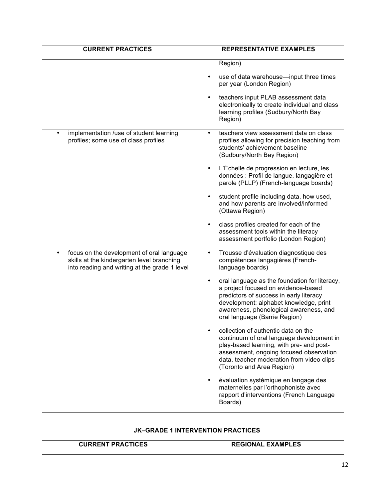| <b>CURRENT PRACTICES</b>                                                                                                                              | <b>REPRESENTATIVE EXAMPLES</b>                                                                                                                                                                                                                                    |
|-------------------------------------------------------------------------------------------------------------------------------------------------------|-------------------------------------------------------------------------------------------------------------------------------------------------------------------------------------------------------------------------------------------------------------------|
|                                                                                                                                                       | Region)                                                                                                                                                                                                                                                           |
|                                                                                                                                                       | use of data warehouse-input three times<br>$\bullet$<br>per year (London Region)                                                                                                                                                                                  |
|                                                                                                                                                       | teachers input PLAB assessment data<br>$\bullet$<br>electronically to create individual and class<br>learning profiles (Sudbury/North Bay<br>Region)                                                                                                              |
| implementation /use of student learning<br>profiles; some use of class profiles                                                                       | teachers view assessment data on class<br>profiles allowing for precision teaching from<br>students' achievement baseline<br>(Sudbury/North Bay Region)                                                                                                           |
|                                                                                                                                                       | L'Échelle de progression en lecture, les<br>$\bullet$<br>données : Profil de langue, langagière et<br>parole (PLLP) (French-language boards)                                                                                                                      |
|                                                                                                                                                       | student profile including data, how used,<br>$\bullet$<br>and how parents are involved/informed<br>(Ottawa Region)                                                                                                                                                |
|                                                                                                                                                       | class profiles created for each of the<br>assessment tools within the literacy<br>assessment portfolio (London Region)                                                                                                                                            |
| focus on the development of oral language<br>$\bullet$<br>skills at the kindergarten level branching<br>into reading and writing at the grade 1 level | Trousse d'évaluation diagnostique des<br>$\bullet$<br>compétences langagières (French-<br>language boards)                                                                                                                                                        |
|                                                                                                                                                       | $\bullet$<br>oral language as the foundation for literacy,<br>a project focused on evidence-based<br>predictors of success in early literacy<br>development: alphabet knowledge, print<br>awareness, phonological awareness, and<br>oral language (Barrie Region) |
|                                                                                                                                                       | collection of authentic data on the<br>continuum of oral language development in<br>play-based learning, with pre- and post-<br>assessment, ongoing focused observation<br>data, teacher moderation from video clips<br>(Toronto and Area Region)                 |
|                                                                                                                                                       | évaluation systémique en langage des<br>$\bullet$<br>maternelles par l'orthophoniste avec<br>rapport d'interventions (French Language<br>Boards)                                                                                                                  |

# **JK–GRADE 1 INTERVENTION PRACTICES**

| <b>CURRENT PRACTICES</b> | <b>REGIONAL EXAMPLES</b> |
|--------------------------|--------------------------|
|                          |                          |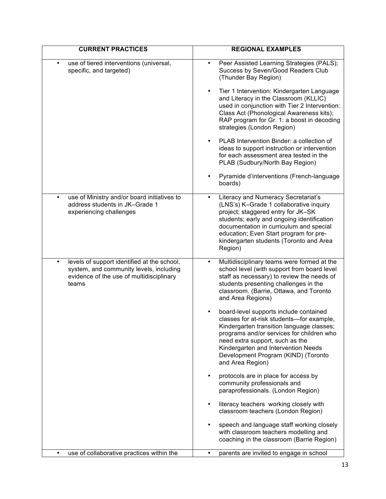| <b>CURRENT PRACTICES</b>                                                                                                                                 | <b>REGIONAL EXAMPLES</b>                                                                                                                                                                                                                                                                                                          |
|----------------------------------------------------------------------------------------------------------------------------------------------------------|-----------------------------------------------------------------------------------------------------------------------------------------------------------------------------------------------------------------------------------------------------------------------------------------------------------------------------------|
| use of tiered interventions (universal,<br>٠<br>specific, and targeted)                                                                                  | Peer Assisted Learning Strategies (PALS);<br>Success by Seven/Good Readers Club<br>(Thunder Bay Region)                                                                                                                                                                                                                           |
|                                                                                                                                                          | Tier 1 Intervention: Kindergarten Language<br>$\bullet$<br>and Literacy in the Classroom (KLLIC)<br>used in conjunction with Tier 2 Intervention:<br>Class Act (Phonological Awareness kits);<br>RAP program for Gr. 1: a boost in decoding<br>strategies (London Region)                                                         |
|                                                                                                                                                          | PLAB Intervention Binder: a collection of<br>$\bullet$<br>ideas to support instruction or intervention<br>for each assessment area tested in the<br>PLAB (Sudbury/North Bay Region)                                                                                                                                               |
|                                                                                                                                                          | Pyramide d'interventions (French-language<br>boards)                                                                                                                                                                                                                                                                              |
| use of Ministry and/or board initiatives to<br>$\bullet$<br>address students in JK-Grade 1<br>experiencing challenges                                    | <b>Literacy and Numeracy Secretariat's</b><br>$\bullet$<br>(LNS's) K-Grade 1 collaborative inquiry<br>project; staggered entry for JK-SK<br>students; early and ongoing identification<br>documentation in curriculum and special<br>education; Even Start program for pre-<br>kindergarten students (Toronto and Area<br>Region) |
| levels of support identified at the school,<br>$\bullet$<br>system, and community levels, including<br>evidence of the use of multidisciplinary<br>teams | Multidisciplinary teams were formed at the<br>$\bullet$<br>school level (with support from board level<br>staff as necessary) to review the needs of<br>students presenting challenges in the<br>classroom. (Barrie, Ottawa, and Toronto<br>and Area Regions)                                                                     |
|                                                                                                                                                          | board-level supports include contained<br>$\bullet$<br>classes for at-risk students-for example,<br>Kindergarten transition language classes;<br>programs and/or services for children who<br>need extra support, such as the<br>Kindergarten and Intervention Needs<br>Development Program (KIND) (Toronto<br>and Area Region)   |
|                                                                                                                                                          | protocols are in place for access by<br>$\bullet$<br>community professionals and<br>paraprofessionals. (London Region)                                                                                                                                                                                                            |
|                                                                                                                                                          | literacy teachers working closely with<br>$\bullet$<br>classroom teachers (London Region)                                                                                                                                                                                                                                         |
|                                                                                                                                                          | speech and language staff working closely<br>$\bullet$<br>with classroom teachers modelling and<br>coaching in the classroom (Barrie Region)                                                                                                                                                                                      |
| use of collaborative practices within the<br>$\bullet$                                                                                                   | parents are invited to engage in school<br>$\bullet$                                                                                                                                                                                                                                                                              |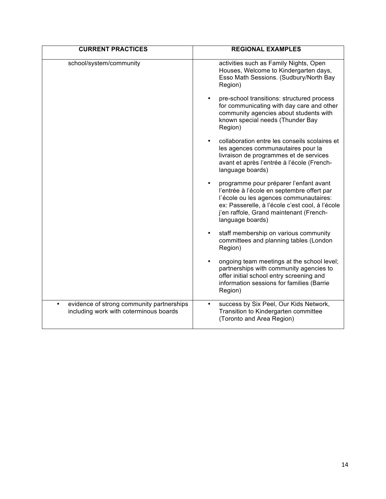| <b>CURRENT PRACTICES</b>                                                                         | <b>REGIONAL EXAMPLES</b>                                                                                                                                                                                                                         |
|--------------------------------------------------------------------------------------------------|--------------------------------------------------------------------------------------------------------------------------------------------------------------------------------------------------------------------------------------------------|
| school/system/community                                                                          | activities such as Family Nights, Open<br>Houses, Welcome to Kindergarten days,<br>Esso Math Sessions. (Sudbury/North Bay<br>Region)                                                                                                             |
|                                                                                                  | pre-school transitions: structured process<br>$\bullet$<br>for communicating with day care and other<br>community agencies about students with<br>known special needs (Thunder Bay<br>Region)                                                    |
|                                                                                                  | collaboration entre les conseils scolaires et<br>$\bullet$<br>les agences communautaires pour la<br>livraison de programmes et de services<br>avant et après l'entrée à l'école (French-<br>language boards)                                     |
|                                                                                                  | programme pour préparer l'enfant avant<br>l'entrée à l'école en septembre offert par<br>l'école ou les agences communautaires:<br>ex: Passerelle, à l'école c'est cool, à l'école<br>j'en raffole, Grand maintenant (French-<br>language boards) |
|                                                                                                  | staff membership on various community<br>$\bullet$<br>committees and planning tables (London<br>Region)                                                                                                                                          |
|                                                                                                  | ongoing team meetings at the school level;<br>partnerships with community agencies to<br>offer initial school entry screening and<br>information sessions for families (Barrie<br>Region)                                                        |
| evidence of strong community partnerships<br>$\bullet$<br>including work with coterminous boards | success by Six Peel, Our Kids Network,<br>$\bullet$<br>Transition to Kindergarten committee<br>(Toronto and Area Region)                                                                                                                         |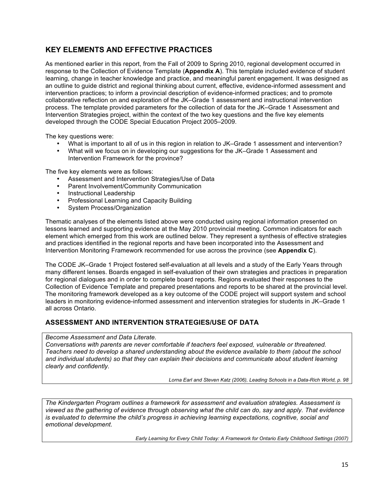# **KEY ELEMENTS AND EFFECTIVE PRACTICES**

As mentioned earlier in this report, from the Fall of 2009 to Spring 2010, regional development occurred in response to the Collection of Evidence Template (**Appendix A**). This template included evidence of student learning, change in teacher knowledge and practice, and meaningful parent engagement. It was designed as an outline to guide district and regional thinking about current, effective, evidence-informed assessment and intervention practices; to inform a provincial description of evidence-informed practices; and to promote collaborative reflection on and exploration of the JK–Grade 1 assessment and instructional intervention process. The template provided parameters for the collection of data for the JK–Grade 1 Assessment and Intervention Strategies project, within the context of the two key questions and the five key elements developed through the CODE Special Education Project 2005–2009.

The key questions were:

- What is important to all of us in this region in relation to JK–Grade 1 assessment and intervention?
- What will we focus on in developing our suggestions for the JK–Grade 1 Assessment and Intervention Framework for the province?

The five key elements were as follows:

- Assessment and Intervention Strategies/Use of Data
- Parent Involvement/Community Communication
- Instructional Leadership
- Professional Learning and Capacity Building
- System Process/Organization

Thematic analyses of the elements listed above were conducted using regional information presented on lessons learned and supporting evidence at the May 2010 provincial meeting. Common indicators for each element which emerged from this work are outlined below. They represent a synthesis of effective strategies and practices identified in the regional reports and have been incorporated into the Assessment and Intervention Monitoring Framework recommended for use across the province (see **Appendix C**).

The CODE JK–Grade 1 Project fostered self-evaluation at all levels and a study of the Early Years through many different lenses. Boards engaged in self-evaluation of their own strategies and practices in preparation for regional dialogues and in order to complete board reports. Regions evaluated their responses to the Collection of Evidence Template and prepared presentations and reports to be shared at the provincial level. The monitoring framework developed as a key outcome of the CODE project will support system and school leaders in monitoring evidence-informed assessment and intervention strategies for students in JK–Grade 1 all across Ontario.

## **ASSESSMENT AND INTERVENTION STRATEGIES/USE OF DATA**

*Become Assessment and Data Literate.* 

*Conversations with parents are never comfortable if teachers feel exposed, vulnerable or threatened. Teachers need to develop a shared understanding about the evidence available to them (about the school and individual students) so that they can explain their decisions and communicate about student learning clearly and confidently.*

*Lorna Earl and Steven Katz (2006), Leading Schools in a Data-Rich World, p. 98*

*The Kindergarten Program outlines a framework for assessment and evaluation strategies. Assessment is viewed as the gathering of evidence through observing what the child can do, say and apply. That evidence is evaluated to determine the child's progress in achieving learning expectations, cognitive, social and emotional development.*

*Early Learning for Every Child Today: A Framework for Ontario Early Childhood Settings (2007)*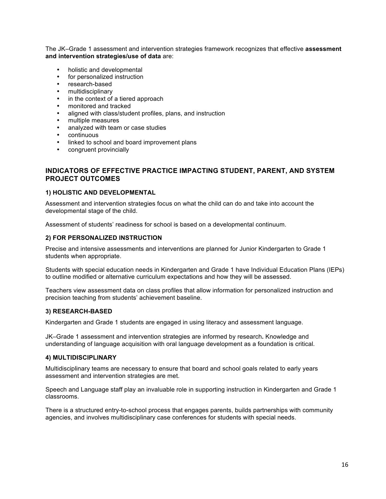The JK–Grade 1 assessment and intervention strategies framework recognizes that effective **assessment and intervention strategies/use of data** are:

- holistic and developmental
- for personalized instruction
- research-based
- multidisciplinary
- in the context of a tiered approach
- monitored and tracked
- aligned with class/student profiles, plans, and instruction<br>• multiple measures
- multiple measures
- analyzed with team or case studies
- continuous
- linked to school and board improvement plans
- congruent provincially

## **INDICATORS OF EFFECTIVE PRACTICE IMPACTING STUDENT, PARENT, AND SYSTEM PROJECT OUTCOMES**

## **1) HOLISTIC AND DEVELOPMENTAL**

Assessment and intervention strategies focus on what the child can do and take into account the developmental stage of the child.

Assessment of students' readiness for school is based on a developmental continuum.

## **2) FOR PERSONALIZED INSTRUCTION**

Precise and intensive assessments and interventions are planned for Junior Kindergarten to Grade 1 students when appropriate.

Students with special education needs in Kindergarten and Grade 1 have Individual Education Plans (IEPs) to outline modified or alternative curriculum expectations and how they will be assessed.

Teachers view assessment data on class profiles that allow information for personalized instruction and precision teaching from students' achievement baseline.

#### **3) RESEARCH-BASED**

Kindergarten and Grade 1 students are engaged in using literacy and assessment language.

JK–Grade 1 assessment and intervention strategies are informed by research**.** Knowledge and understanding of language acquisition with oral language development as a foundation is critical.

#### **4) MULTIDISCIPLINARY**

Multidisciplinary teams are necessary to ensure that board and school goals related to early years assessment and intervention strategies are met.

Speech and Language staff play an invaluable role in supporting instruction in Kindergarten and Grade 1 classrooms.

There is a structured entry-to-school process that engages parents, builds partnerships with community agencies, and involves multidisciplinary case conferences for students with special needs.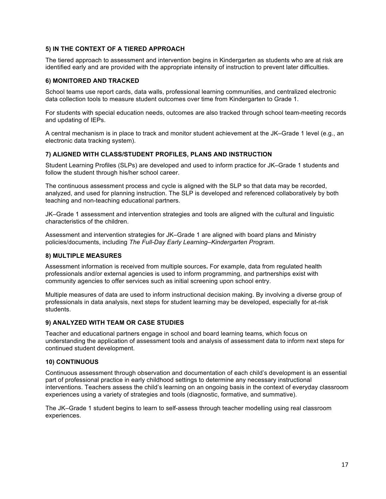## **5) IN THE CONTEXT OF A TIERED APPROACH**

The tiered approach to assessment and intervention begins in Kindergarten as students who are at risk are identified early and are provided with the appropriate intensity of instruction to prevent later difficulties.

#### **6) MONITORED AND TRACKED**

School teams use report cards, data walls, professional learning communities, and centralized electronic data collection tools to measure student outcomes over time from Kindergarten to Grade 1.

For students with special education needs, outcomes are also tracked through school team-meeting records and updating of IEPs.

A central mechanism is in place to track and monitor student achievement at the JK–Grade 1 level (e.g., an electronic data tracking system).

## **7) ALIGNED WITH CLASS/STUDENT PROFILES, PLANS AND INSTRUCTION**

Student Learning Profiles (SLPs) are developed and used to inform practice for JK–Grade 1 students and follow the student through his/her school career.

The continuous assessment process and cycle is aligned with the SLP so that data may be recorded, analyzed, and used for planning instruction. The SLP is developed and referenced collaboratively by both teaching and non-teaching educational partners.

JK–Grade 1 assessment and intervention strategies and tools are aligned with the cultural and linguistic characteristics of the children.

Assessment and intervention strategies for JK–Grade 1 are aligned with board plans and Ministry policies/documents, including *The Full-Day Early Learning–Kindergarten Program*.

#### **8) MULTIPLE MEASURES**

Assessment information is received from multiple sources**.** For example, data from regulated health professionals and/or external agencies is used to inform programming, and partnerships exist with community agencies to offer services such as initial screening upon school entry.

Multiple measures of data are used to inform instructional decision making. By involving a diverse group of professionals in data analysis, next steps for student learning may be developed, especially for at-risk students.

#### **9) ANALYZED WITH TEAM OR CASE STUDIES**

Teacher and educational partners engage in school and board learning teams, which focus on understanding the application of assessment tools and analysis of assessment data to inform next steps for continued student development.

#### **10) CONTINUOUS**

Continuous assessment through observation and documentation of each child's development is an essential part of professional practice in early childhood settings to determine any necessary instructional interventions. Teachers assess the child's learning on an ongoing basis in the context of everyday classroom experiences using a variety of strategies and tools (diagnostic, formative, and summative).

The JK–Grade 1 student begins to learn to self-assess through teacher modelling using real classroom experiences.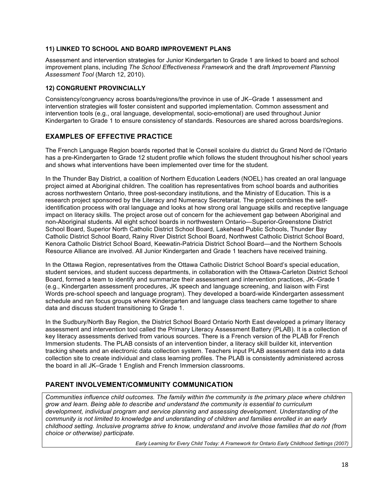## **11) LINKED TO SCHOOL AND BOARD IMPROVEMENT PLANS**

Assessment and intervention strategies for Junior Kindergarten to Grade 1 are linked to board and school improvement plans, including *The School Effectiveness Framework* and the draft *Improvement Planning Assessment Tool* (March 12, 2010).

## **12) CONGRUENT PROVINCIALLY**

Consistency/congruency across boards/regions/the province in use of JK–Grade 1 assessment and intervention strategies will foster consistent and supported implementation. Common assessment and intervention tools (e.g., oral language, developmental, socio-emotional) are used throughout Junior Kindergarten to Grade 1 to ensure consistency of standards. Resources are shared across boards/regions.

## **EXAMPLES OF EFFECTIVE PRACTICE**

The French Language Region boards reported that le Conseil scolaire du district du Grand Nord de l'Ontario has a pre-Kindergarten to Grade 12 student profile which follows the student throughout his/her school years and shows what interventions have been implemented over time for the student.

In the Thunder Bay District, a coalition of Northern Education Leaders (NOEL) has created an oral language project aimed at Aboriginal children. The coalition has representatives from school boards and authorities across northwestern Ontario, three post-secondary institutions, and the Ministry of Education. This is a research project sponsored by the Literacy and Numeracy Secretariat. The project combines the selfidentification process with oral language and looks at how strong oral language skills and receptive language impact on literacy skills. The project arose out of concern for the achievement gap between Aboriginal and non-Aboriginal students. All eight school boards in northwestern Ontario—Superior-Greenstone District School Board, Superior North Catholic District School Board, Lakehead Public Schools, Thunder Bay Catholic District School Board, Rainy River District School Board, Northwest Catholic District School Board, Kenora Catholic District School Board, Keewatin-Patricia District School Board—and the Northern Schools Resource Alliance are involved. All Junior Kindergarten and Grade 1 teachers have received training.

In the Ottawa Region, representatives from the Ottawa Catholic District School Board's special education, student services, and student success departments, in collaboration with the Ottawa-Carleton District School Board, formed a team to identify and summarize their assessment and intervention practices, JK–Grade 1 (e.g., Kindergarten assessment procedures, JK speech and language screening, and liaison with First Words pre-school speech and language program). They developed a board-wide Kindergarten assessment schedule and ran focus groups where Kindergarten and language class teachers came together to share data and discuss student transitioning to Grade 1.

In the Sudbury/North Bay Region, the District School Board Ontario North East developed a primary literacy assessment and intervention tool called the Primary Literacy Assessment Battery (PLAB). It is a collection of key literacy assessments derived from various sources. There is a French version of the PLAB for French Immersion students. The PLAB consists of an intervention binder, a literacy skill builder kit, intervention tracking sheets and an electronic data collection system. Teachers input PLAB assessment data into a data collection site to create individual and class learning profiles. The PLAB is consistently administered across the board in all JK–Grade 1 English and French Immersion classrooms.

## **PARENT INVOLVEMENT/COMMUNITY COMMUNICATION**

*Communities influence child outcomes. The family within the community is the primary place where children grow and learn. Being able to describe and understand the community is essential to curriculum development, individual program and service planning and assessing development. Understanding of the community is not limited to knowledge and understanding of children and families enrolled in an early childhood setting. Inclusive programs strive to know, understand and involve those families that do not (from choice or otherwise) participate.*

*Early Learning for Every Child Today: A Framework for Ontario Early Childhood Settings (2007)*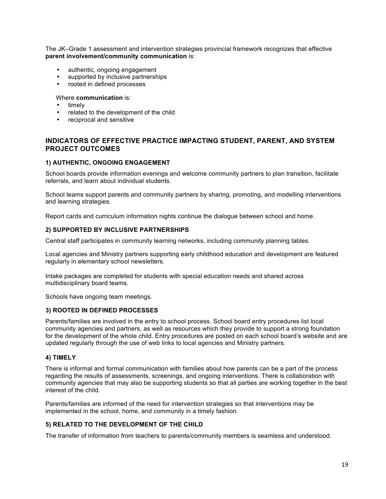The JK–Grade 1 assessment and intervention strategies provincial framework recognizes that effective **parent involvement/community communication** is:

- authentic, ongoing engagement
- supported by inclusive partnerships
- rooted in defined processes

#### Where **communication** is:

- timely
- related to the development of the child
- reciprocal and sensitive

## **INDICATORS OF EFFECTIVE PRACTICE IMPACTING STUDENT, PARENT, AND SYSTEM PROJECT OUTCOMES**

## **1) AUTHENTIC, ONGOING ENGAGEMENT**

School boards provide information evenings and welcome community partners to plan transition, facilitate referrals, and learn about individual students.

School teams support parents and community partners by sharing, promoting, and modelling interventions and learning strategies.

Report cards and curriculum information nights continue the dialogue between school and home.

## **2) SUPPORTED BY INCLUSIVE PARTNERSHIPS**

Central staff participates in community learning networks, including community planning tables.

Local agencies and Ministry partners supporting early childhood education and development are featured regularly in elementary school newsletters.

Intake packages are completed for students with special education needs and shared across multidisciplinary board teams.

Schools have ongoing team meetings.

#### **3) ROOTED IN DEFINED PROCESSES**

Parents/families are involved in the entry to school process. School board entry procedures list local community agencies and partners, as well as resources which they provide to support a strong foundation for the development of the whole child. Entry procedures are posted on each school board's website and are updated regularly through the use of web links to local agencies and Ministry partners.

#### **4) TIMELY**

There is informal and formal communication with families about how parents can be a part of the process regarding the results of assessments, screenings, and ongoing interventions. There is collaboration with community agencies that may also be supporting students so that all parties are working together in the best interest of the child.

Parents/families are informed of the need for intervention strategies so that interventions may be implemented in the school, home, and community in a timely fashion.

#### **5) RELATED TO THE DEVELOPMENT OF THE CHILD**

The transfer of information from teachers to parents/community members is seamless and understood.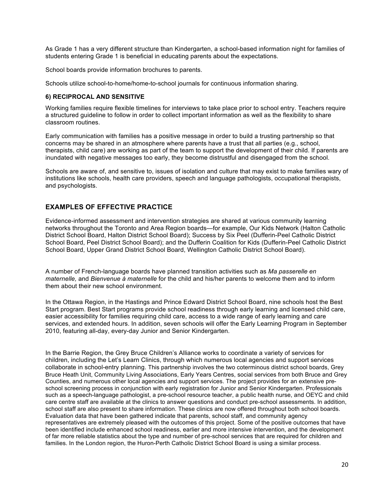As Grade 1 has a very different structure than Kindergarten, a school-based information night for families of students entering Grade 1 is beneficial in educating parents about the expectations.

School boards provide information brochures to parents.

Schools utilize school-to-home/home-to-school journals for continuous information sharing.

## **6) RECIPROCAL AND SENSITIVE**

Working families require flexible timelines for interviews to take place prior to school entry. Teachers require a structured guideline to follow in order to collect important information as well as the flexibility to share classroom routines.

Early communication with families has a positive message in order to build a trusting partnership so that concerns may be shared in an atmosphere where parents have a trust that all parties (e.g., school, therapists, child care) are working as part of the team to support the development of their child. If parents are inundated with negative messages too early, they become distrustful and disengaged from the school.

Schools are aware of, and sensitive to, issues of isolation and culture that may exist to make families wary of institutions like schools, health care providers, speech and language pathologists, occupational therapists, and psychologists.

## **EXAMPLES OF EFFECTIVE PRACTICE**

Evidence-informed assessment and intervention strategies are shared at various community learning networks throughout the Toronto and Area Region boards—for example, Our Kids Network (Halton Catholic District School Board, Halton District School Board); Success by Six Peel (Dufferin-Peel Catholic District School Board, Peel District School Board); and the Dufferin Coalition for Kids (Dufferin-Peel Catholic District School Board, Upper Grand District School Board, Wellington Catholic District School Board).

A number of French-language boards have planned transition activities such as *Ma passerelle en maternelle,* and *Bienvenue à maternelle* for the child and his/her parents to welcome them and to inform them about their new school environment.

In the Ottawa Region, in the Hastings and Prince Edward District School Board, nine schools host the Best Start program. Best Start programs provide school readiness through early learning and licensed child care, easier accessibility for families requiring child care, access to a wide range of early learning and care services, and extended hours. In addition, seven schools will offer the Early Learning Program in September 2010, featuring all-day, every-day Junior and Senior Kindergarten.

In the Barrie Region, the Grey Bruce Children's Alliance works to coordinate a variety of services for children, including the Let's Learn Clinics, through which numerous local agencies and support services collaborate in school-entry planning. This partnership involves the two coterminous district school boards, Grey Bruce Heath Unit, Community Living Associations, Early Years Centres, social services from both Bruce and Grey Counties, and numerous other local agencies and support services. The project provides for an extensive preschool screening process in conjunction with early registration for Junior and Senior Kindergarten. Professionals such as a speech-language pathologist, a pre-school resource teacher, a public health nurse, and OEYC and child care centre staff are available at the clinics to answer questions and conduct pre-school assessments. In addition, school staff are also present to share information. These clinics are now offered throughout both school boards. Evaluation data that have been gathered indicate that parents, school staff, and community agency representatives are extremely pleased with the outcomes of this project. Some of the positive outcomes that have been identified include enhanced school readiness, earlier and more intensive intervention, and the development of far more reliable statistics about the type and number of pre-school services that are required for children and families. In the London region, the Huron-Perth Catholic District School Board is using a similar process.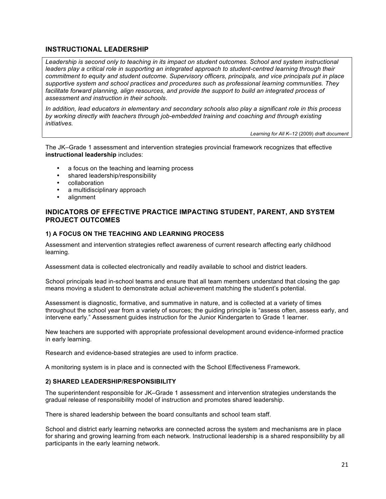## **INSTRUCTIONAL LEADERSHIP**

Leadership is second only to teaching in its impact on student outcomes. School and system instructional *leaders play a critical role in supporting an integrated approach to student-centred learning through their commitment to equity and student outcome. Supervisory officers, principals, and vice principals put in place supportive system and school practices and procedures such as professional learning communities. They*  facilitate forward planning, align resources, and provide the support to build an integrated process of *assessment and instruction in their schools*.

*In addition, lead educators in elementary and secondary schools also play a significant role in this process by working directly with teachers through job-embedded training and coaching and through existing initiatives.*

*Learning for All K–12* (2009) *draft document*

The JK–Grade 1 assessment and intervention strategies provincial framework recognizes that effective **instructional leadership** includes:

- a focus on the teaching and learning process
- shared leadership/responsibility<br>• collaboration
- collaboration
- a multidisciplinary approach<br>• alignment
- alignment

## **INDICATORS OF EFFECTIVE PRACTICE IMPACTING STUDENT, PARENT, AND SYSTEM PROJECT OUTCOMES**

## **1) A FOCUS ON THE TEACHING AND LEARNING PROCESS**

Assessment and intervention strategies reflect awareness of current research affecting early childhood learning.

Assessment data is collected electronically and readily available to school and district leaders.

School principals lead in-school teams and ensure that all team members understand that closing the gap means moving a student to demonstrate actual achievement matching the student's potential.

Assessment is diagnostic, formative, and summative in nature, and is collected at a variety of times throughout the school year from a variety of sources; the guiding principle is "assess often, assess early, and intervene early." Assessment guides instruction for the Junior Kindergarten to Grade 1 learner.

New teachers are supported with appropriate professional development around evidence-informed practice in early learning.

Research and evidence-based strategies are used to inform practice.

A monitoring system is in place and is connected with the School Effectiveness Framework.

#### **2) SHARED LEADERSHIP/RESPONSIBILITY**

The superintendent responsible for JK–Grade 1 assessment and intervention strategies understands the gradual release of responsibility model of instruction and promotes shared leadership.

There is shared leadership between the board consultants and school team staff.

School and district early learning networks are connected across the system and mechanisms are in place for sharing and growing learning from each network. Instructional leadership is a shared responsibility by all participants in the early learning network.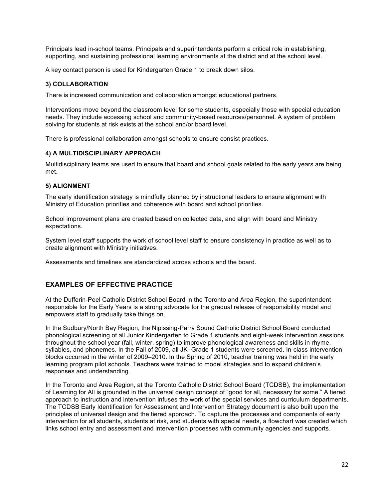Principals lead in-school teams. Principals and superintendents perform a critical role in establishing, supporting, and sustaining professional learning environments at the district and at the school level.

A key contact person is used for Kindergarten Grade 1 to break down silos.

## **3) COLLABORATION**

There is increased communication and collaboration amongst educational partners.

Interventions move beyond the classroom level for some students, especially those with special education needs. They include accessing school and community-based resources/personnel. A system of problem solving for students at risk exists at the school and/or board level.

There is professional collaboration amongst schools to ensure consist practices.

## **4) A MULTIDISCIPLINARY APPROACH**

Multidisciplinary teams are used to ensure that board and school goals related to the early years are being met.

## **5) ALIGNMENT**

The early identification strategy is mindfully planned by instructional leaders to ensure alignment with Ministry of Education priorities and coherence with board and school priorities.

School improvement plans are created based on collected data, and align with board and Ministry expectations.

System level staff supports the work of school level staff to ensure consistency in practice as well as to create alignment with Ministry initiatives.

Assessments and timelines are standardized across schools and the board.

## **EXAMPLES OF EFFECTIVE PRACTICE**

At the Dufferin-Peel Catholic District School Board in the Toronto and Area Region, the superintendent responsible for the Early Years is a strong advocate for the gradual release of responsibility model and empowers staff to gradually take things on.

In the Sudbury/North Bay Region, the Nipissing-Parry Sound Catholic District School Board conducted phonological screening of all Junior Kindergarten to Grade 1 students and eight-week intervention sessions throughout the school year (fall, winter, spring) to improve phonological awareness and skills in rhyme, syllables, and phonemes. In the Fall of 2009, all JK–Grade 1 students were screened. In-class intervention blocks occurred in the winter of 2009–2010. In the Spring of 2010, teacher training was held in the early learning program pilot schools. Teachers were trained to model strategies and to expand children's responses and understanding.

In the Toronto and Area Region, at the Toronto Catholic District School Board (TCDSB), the implementation of Learning for All is grounded in the universal design concept of "good for all, necessary for some." A tiered approach to instruction and intervention infuses the work of the special services and curriculum departments. The TCDSB Early Identification for Assessment and Intervention Strategy document is also built upon the principles of universal design and the tiered approach. To capture the processes and components of early intervention for all students, students at risk, and students with special needs, a flowchart was created which links school entry and assessment and intervention processes with community agencies and supports.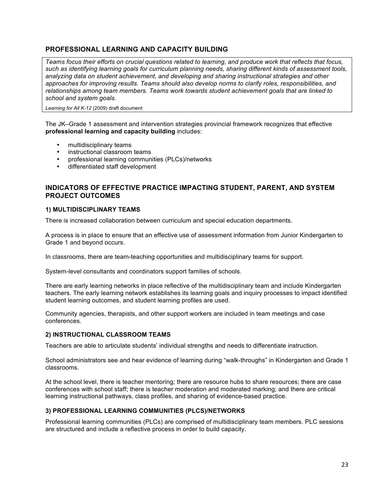## **PROFESSIONAL LEARNING AND CAPACITY BUILDING**

*Teams focus their efforts on crucial questions related to learning, and produce work that reflects that focus, such as identifying learning goals for curriculum planning needs, sharing different kinds of assessment tools, analyzing data on student achievement, and developing and sharing instructional strategies and other approaches for improving results. Teams should also develop norms to clarify roles, responsibilities, and relationships among team members. Teams work towards student achievement goals that are linked to school and system goals.*

*Learning for All K-12* (2009) draft document

The JK–Grade 1 assessment and intervention strategies provincial framework recognizes that effective **professional learning and capacity building** includes:

- multidisciplinary teams
- instructional classroom teams
- professional learning communities (PLCs)/networks
- differentiated staff development

## **INDICATORS OF EFFECTIVE PRACTICE IMPACTING STUDENT, PARENT, AND SYSTEM PROJECT OUTCOMES**

## **1) MULTIDISCIPLINARY TEAMS**

There is increased collaboration between curriculum and special education departments.

A process is in place to ensure that an effective use of assessment information from Junior Kindergarten to Grade 1 and beyond occurs.

In classrooms, there are team-teaching opportunities and multidisciplinary teams for support.

System-level consultants and coordinators support families of schools.

There are early learning networks in place reflective of the multidisciplinary team and include Kindergarten teachers. The early learning network establishes its learning goals and inquiry processes to impact identified student learning outcomes, and student learning profiles are used.

Community agencies, therapists, and other support workers are included in team meetings and case conferences.

## **2) INSTRUCTIONAL CLASSROOM TEAMS**

Teachers are able to articulate students' individual strengths and needs to differentiate instruction.

School administrators see and hear evidence of learning during "walk-throughs" in Kindergarten and Grade 1 classrooms.

At the school level, there is teacher mentoring; there are resource hubs to share resources; there are case conferences with school staff; there is teacher moderation and moderated marking; and there are critical learning instructional pathways, class profiles, and sharing of evidence-based practice.

## **3) PROFESSIONAL LEARNING COMMUNITIES (PLCS)/NETWORKS**

Professional learning communities (PLCs) are comprised of multidisciplinary team members. PLC sessions are structured and include a reflective process in order to build capacity.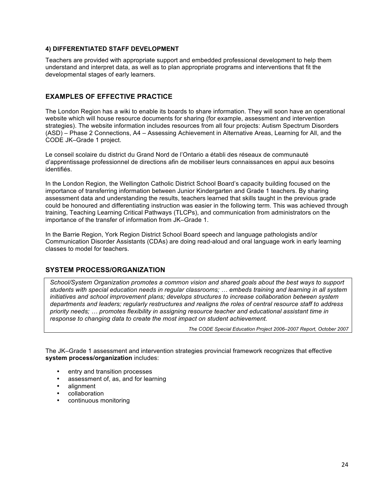## **4) DIFFERENTIATED STAFF DEVELOPMENT**

Teachers are provided with appropriate support and embedded professional development to help them understand and interpret data, as well as to plan appropriate programs and interventions that fit the developmental stages of early learners.

## **EXAMPLES OF EFFECTIVE PRACTICE**

The London Region has a wiki to enable its boards to share information. They will soon have an operational website which will house resource documents for sharing (for example, assessment and intervention strategies). The website information includes resources from all four projects: Autism Spectrum Disorders (ASD) – Phase 2 Connections, A4 – Assessing Achievement in Alternative Areas, Learning for All, and the CODE JK–Grade 1 project.

Le conseil scolaire du district du Grand Nord de l'Ontario a établi des réseaux de communauté d'apprentissage professionnel de directions afin de mobiliser leurs connaissances en appui aux besoins identifiés.

In the London Region, the Wellington Catholic District School Board's capacity building focused on the importance of transferring information between Junior Kindergarten and Grade 1 teachers. By sharing assessment data and understanding the results, teachers learned that skills taught in the previous grade could be honoured and differentiating instruction was easier in the following term. This was achieved through training, Teaching Learning Critical Pathways (TLCPs), and communication from administrators on the importance of the transfer of information from JK–Grade 1.

In the Barrie Region, York Region District School Board speech and language pathologists and/or Communication Disorder Assistants (CDAs) are doing read-aloud and oral language work in early learning classes to model for teachers.

## **SYSTEM PROCESS/ORGANIZATION**

*School/System Organization promotes a common vision and shared goals about the best ways to support students with special education needs in regular classrooms; … embeds training and learning in all system initiatives and school improvement plans; develops structures to increase collaboration between system departments and leaders; regularly restructures and realigns the roles of central resource staff to address priority needs; … promotes flexibility in assigning resource teacher and educational assistant time in response to changing data to create the most impact on student achievement.*

*The CODE Special Education Project 2006–2007 Report, October 2007*

The JK–Grade 1 assessment and intervention strategies provincial framework recognizes that effective **system process/organization** includes:

- entry and transition processes
- assessment of, as, and for learning
- alignment
- collaboration
- continuous monitoring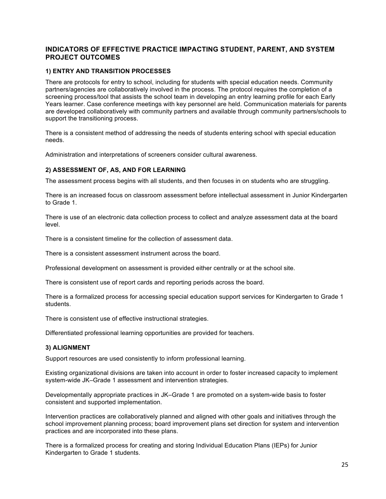## **INDICATORS OF EFFECTIVE PRACTICE IMPACTING STUDENT, PARENT, AND SYSTEM PROJECT OUTCOMES**

## **1) ENTRY AND TRANSITION PROCESSES**

There are protocols for entry to school, including for students with special education needs. Community partners/agencies are collaboratively involved in the process. The protocol requires the completion of a screening process/tool that assists the school team in developing an entry learning profile for each Early Years learner. Case conference meetings with key personnel are held. Communication materials for parents are developed collaboratively with community partners and available through community partners/schools to support the transitioning process.

There is a consistent method of addressing the needs of students entering school with special education needs.

Administration and interpretations of screeners consider cultural awareness.

## **2) ASSESSMENT OF, AS, AND FOR LEARNING**

The assessment process begins with all students, and then focuses in on students who are struggling.

There is an increased focus on classroom assessment before intellectual assessment in Junior Kindergarten to Grade 1.

There is use of an electronic data collection process to collect and analyze assessment data at the board level.

There is a consistent timeline for the collection of assessment data.

There is a consistent assessment instrument across the board.

Professional development on assessment is provided either centrally or at the school site.

There is consistent use of report cards and reporting periods across the board.

There is a formalized process for accessing special education support services for Kindergarten to Grade 1 students.

There is consistent use of effective instructional strategies.

Differentiated professional learning opportunities are provided for teachers.

#### **3) ALIGNMENT**

Support resources are used consistently to inform professional learning.

Existing organizational divisions are taken into account in order to foster increased capacity to implement system-wide JK–Grade 1 assessment and intervention strategies.

Developmentally appropriate practices in JK–Grade 1 are promoted on a system-wide basis to foster consistent and supported implementation.

Intervention practices are collaboratively planned and aligned with other goals and initiatives through the school improvement planning process; board improvement plans set direction for system and intervention practices and are incorporated into these plans.

There is a formalized process for creating and storing Individual Education Plans (IEPs) for Junior Kindergarten to Grade 1 students.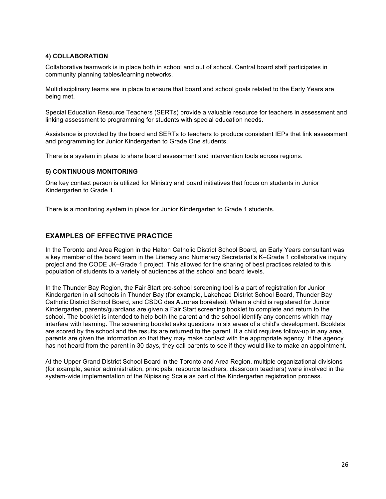## **4) COLLABORATION**

Collaborative teamwork is in place both in school and out of school. Central board staff participates in community planning tables/learning networks.

Multidisciplinary teams are in place to ensure that board and school goals related to the Early Years are being met.

Special Education Resource Teachers (SERTs) provide a valuable resource for teachers in assessment and linking assessment to programming for students with special education needs.

Assistance is provided by the board and SERTs to teachers to produce consistent IEPs that link assessment and programming for Junior Kindergarten to Grade One students.

There is a system in place to share board assessment and intervention tools across regions.

#### **5) CONTINUOUS MONITORING**

One key contact person is utilized for Ministry and board initiatives that focus on students in Junior Kindergarten to Grade 1.

There is a monitoring system in place for Junior Kindergarten to Grade 1 students.

## **EXAMPLES OF EFFECTIVE PRACTICE**

In the Toronto and Area Region in the Halton Catholic District School Board, an Early Years consultant was a key member of the board team in the Literacy and Numeracy Secretariat's K–Grade 1 collaborative inquiry project and the CODE JK–Grade 1 project. This allowed for the sharing of best practices related to this population of students to a variety of audiences at the school and board levels.

In the Thunder Bay Region, the Fair Start pre-school screening tool is a part of registration for Junior Kindergarten in all schools in Thunder Bay (for example, Lakehead District School Board, Thunder Bay Catholic District School Board, and CSDC des Aurores boréales). When a child is registered for Junior Kindergarten, parents/guardians are given a Fair Start screening booklet to complete and return to the school. The booklet is intended to help both the parent and the school identify any concerns which may interfere with learning. The screening booklet asks questions in six areas of a child's development. Booklets are scored by the school and the results are returned to the parent. If a child requires follow-up in any area, parents are given the information so that they may make contact with the appropriate agency. If the agency has not heard from the parent in 30 days, they call parents to see if they would like to make an appointment.

At the Upper Grand District School Board in the Toronto and Area Region, multiple organizational divisions (for example, senior administration, principals, resource teachers, classroom teachers) were involved in the system-wide implementation of the Nipissing Scale as part of the Kindergarten registration process.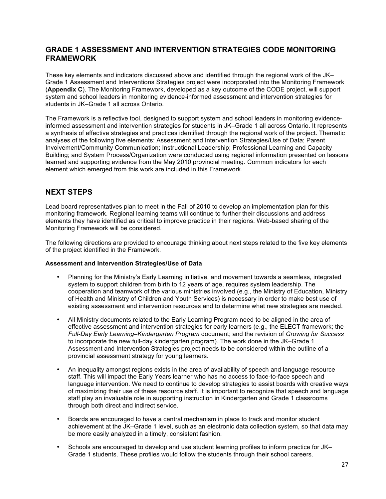# **GRADE 1 ASSESSMENT AND INTERVENTION STRATEGIES CODE MONITORING FRAMEWORK**

These key elements and indicators discussed above and identified through the regional work of the JK– Grade 1 Assessment and Interventions Strategies project were incorporated into the Monitoring Framework (**Appendix C**). The Monitoring Framework, developed as a key outcome of the CODE project, will support system and school leaders in monitoring evidence-informed assessment and intervention strategies for students in JK–Grade 1 all across Ontario.

The Framework is a reflective tool, designed to support system and school leaders in monitoring evidenceinformed assessment and intervention strategies for students in JK–Grade 1 all across Ontario. It represents a synthesis of effective strategies and practices identified through the regional work of the project. Thematic analyses of the following five elements: Assessment and Intervention Strategies/Use of Data; Parent Involvement/Community Communication; Instructional Leadership; Professional Learning and Capacity Building; and System Process/Organization were conducted using regional information presented on lessons learned and supporting evidence from the May 2010 provincial meeting. Common indicators for each element which emerged from this work are included in this Framework.

# **NEXT STEPS**

Lead board representatives plan to meet in the Fall of 2010 to develop an implementation plan for this monitoring framework. Regional learning teams will continue to further their discussions and address elements they have identified as critical to improve practice in their regions. Web-based sharing of the Monitoring Framework will be considered.

The following directions are provided to encourage thinking about next steps related to the five key elements of the project identified in the Framework.

## **Assessment and Intervention Strategies/Use of Data**

- Planning for the Ministry's Early Learning initiative, and movement towards a seamless, integrated system to support children from birth to 12 years of age, requires system leadership. The cooperation and teamwork of the various ministries involved (e.g., the Ministry of Education, Ministry of Health and Ministry of Children and Youth Services) is necessary in order to make best use of existing assessment and intervention resources and to determine what new strategies are needed.
- All Ministry documents related to the Early Learning Program need to be aligned in the area of effective assessment and intervention strategies for early learners (e.g., the ELECT framework; the *Full-Day Early Learning–Kindergarten Program* document; and the revision of *Growing for Success* to incorporate the new full-day kindergarten program). The work done in the JK–Grade 1 Assessment and Intervention Strategies project needs to be considered within the outline of a provincial assessment strategy for young learners.
- An inequality amongst regions exists in the area of availability of speech and language resource staff. This will impact the Early Years learner who has no access to face-to-face speech and language intervention. We need to continue to develop strategies to assist boards with creative ways of maximizing their use of these resource staff. It is important to recognize that speech and language staff play an invaluable role in supporting instruction in Kindergarten and Grade 1 classrooms through both direct and indirect service.
- Boards are encouraged to have a central mechanism in place to track and monitor student achievement at the JK–Grade 1 level, such as an electronic data collection system, so that data may be more easily analyzed in a timely, consistent fashion.
- Schools are encouraged to develop and use student learning profiles to inform practice for JK– Grade 1 students. These profiles would follow the students through their school careers.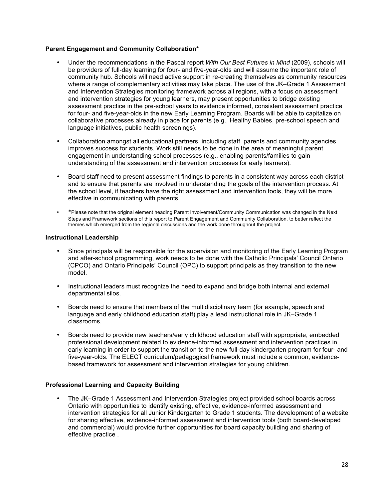## **Parent Engagement and Community Collaboration\***

- Under the recommendations in the Pascal report *With Our Best Futures in Mind* (2009), schools will be providers of full-day learning for four- and five-year-olds and will assume the important role of community hub. Schools will need active support in re-creating themselves as community resources where a range of complementary activities may take place. The use of the JK–Grade 1 Assessment and Intervention Strategies monitoring framework across all regions, with a focus on assessment and intervention strategies for young learners, may present opportunities to bridge existing assessment practice in the pre-school years to evidence informed, consistent assessment practice for four- and five-year-olds in the new Early Learning Program. Boards will be able to capitalize on collaborative processes already in place for parents (e.g., Healthy Babies, pre-school speech and language initiatives, public health screenings).
- Collaboration amongst all educational partners, including staff, parents and community agencies improves success for students. Work still needs to be done in the area of meaningful parent engagement in understanding school processes (e.g., enabling parents/families to gain understanding of the assessment and intervention processes for early learners).
- Board staff need to present assessment findings to parents in a consistent way across each district and to ensure that parents are involved in understanding the goals of the intervention process. At the school level, if teachers have the right assessment and intervention tools, they will be more effective in communicating with parents.
- \*Please note that the original element heading Parent Involvement/Community Communication was changed in the Next Steps and Framework sections of this report to Parent Engagement and Community Collaboration, to better reflect the themes which emerged from the regional discussions and the work done throughout the project.

#### **Instructional Leadership**

- Since principals will be responsible for the supervision and monitoring of the Early Learning Program and after-school programming, work needs to be done with the Catholic Principals' Council Ontario (CPCO) and Ontario Principals' Council (OPC) to support principals as they transition to the new model.
- Instructional leaders must recognize the need to expand and bridge both internal and external departmental silos.
- Boards need to ensure that members of the multidisciplinary team (for example, speech and language and early childhood education staff) play a lead instructional role in JK–Grade 1 classrooms.
- Boards need to provide new teachers/early childhood education staff with appropriate, embedded professional development related to evidence-informed assessment and intervention practices in early learning in order to support the transition to the new full-day kindergarten program for four- and five-year-olds. The ELECT curriculum/pedagogical framework must include a common, evidencebased framework for assessment and intervention strategies for young children.

#### **Professional Learning and Capacity Building**

• The JK–Grade 1 Assessment and Intervention Strategies project provided school boards across Ontario with opportunities to identify existing, effective, evidence-informed assessment and intervention strategies for all Junior Kindergarten to Grade 1 students. The development of a website for sharing effective, evidence-informed assessment and intervention tools (both board-developed and commercial) would provide further opportunities for board capacity building and sharing of effective practice .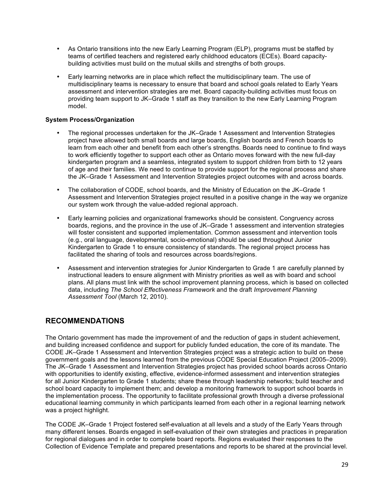- As Ontario transitions into the new Early Learning Program (ELP), programs must be staffed by teams of certified teachers and registered early childhood educators (ECEs). Board capacitybuilding activities must build on the mutual skills and strengths of both groups.
- Early learning networks are in place which reflect the multidisciplinary team. The use of multidisciplinary teams is necessary to ensure that board and school goals related to Early Years assessment and intervention strategies are met. Board capacity-building activities must focus on providing team support to JK–Grade 1 staff as they transition to the new Early Learning Program model.

## **System Process/Organization**

- The regional processes undertaken for the JK–Grade 1 Assessment and Intervention Strategies project have allowed both small boards and large boards, English boards and French boards to learn from each other and benefit from each other's strengths. Boards need to continue to find ways to work efficiently together to support each other as Ontario moves forward with the new full-day kindergarten program and a seamless, integrated system to support children from birth to 12 years of age and their families. We need to continue to provide support for the regional process and share the JK–Grade 1 Assessment and Intervention Strategies project outcomes with and across boards.
- The collaboration of CODE, school boards, and the Ministry of Education on the JK–Grade 1 Assessment and Intervention Strategies project resulted in a positive change in the way we organize our system work through the value-added regional approach.
- Early learning policies and organizational frameworks should be consistent. Congruency across boards, regions, and the province in the use of JK–Grade 1 assessment and intervention strategies will foster consistent and supported implementation. Common assessment and intervention tools (e.g., oral language, developmental, socio-emotional) should be used throughout Junior Kindergarten to Grade 1 to ensure consistency of standards. The regional project process has facilitated the sharing of tools and resources across boards/regions.
- Assessment and intervention strategies for Junior Kindergarten to Grade 1 are carefully planned by instructional leaders to ensure alignment with Ministry priorities as well as with board and school plans. All plans must link with the school improvement planning process, which is based on collected data, including *The School Effectiveness Framework* and the draft *Improvement Planning Assessment Tool* (March 12, 2010).

# **RECOMMENDATIONS**

The Ontario government has made the improvement of and the reduction of gaps in student achievement, and building increased confidence and support for publicly funded education, the core of its mandate. The CODE JK–Grade 1 Assessment and Intervention Strategies project was a strategic action to build on these government goals and the lessons learned from the previous CODE Special Education Project (2005–2009). The JK–Grade 1 Assessment and Intervention Strategies project has provided school boards across Ontario with opportunities to identify existing, effective, evidence-informed assessment and intervention strategies for all Junior Kindergarten to Grade 1 students; share these through leadership networks; build teacher and school board capacity to implement them; and develop a monitoring framework to support school boards in the implementation process. The opportunity to facilitate professional growth through a diverse professional educational learning community in which participants learned from each other in a regional learning network was a project highlight.

The CODE JK–Grade 1 Project fostered self-evaluation at all levels and a study of the Early Years through many different lenses. Boards engaged in self-evaluation of their own strategies and practices in preparation for regional dialogues and in order to complete board reports. Regions evaluated their responses to the Collection of Evidence Template and prepared presentations and reports to be shared at the provincial level.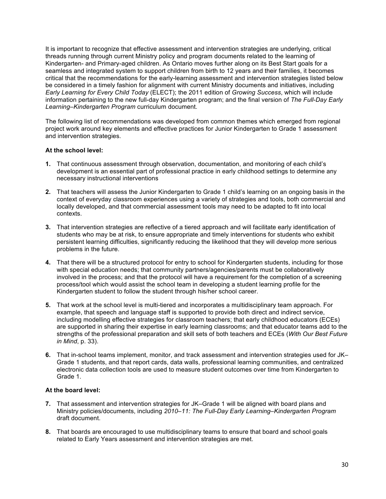It is important to recognize that effective assessment and intervention strategies are underlying, critical threads running through current Ministry policy and program documents related to the learning of Kindergarten- and Primary-aged children. As Ontario moves further along on its Best Start goals for a seamless and integrated system to support children from birth to 12 years and their families, it becomes critical that the recommendations for the early-learning assessment and intervention strategies listed below be considered in a timely fashion for alignment with current Ministry documents and initiatives, including *Early Learning for Every Child Today* (ELECT); the 2011 edition of *Growing Success*, which will include information pertaining to the new full-day Kindergarten program; and the final version of *The Full-Day Early Learning–Kindergarten Program* curriculum document*.*

The following list of recommendations was developed from common themes which emerged from regional project work around key elements and effective practices for Junior Kindergarten to Grade 1 assessment and intervention strategies.

## **At the school level:**

- **1.** That continuous assessment through observation, documentation, and monitoring of each child's development is an essential part of professional practice in early childhood settings to determine any necessary instructional interventions
- **2.** That teachers will assess the Junior Kindergarten to Grade 1 child's learning on an ongoing basis in the context of everyday classroom experiences using a variety of strategies and tools, both commercial and locally developed, and that commercial assessment tools may need to be adapted to fit into local contexts.
- **3.** That intervention strategies are reflective of a tiered approach and will facilitate early identification of students who may be at risk, to ensure appropriate and timely interventions for students who exhibit persistent learning difficulties, significantly reducing the likelihood that they will develop more serious problems in the future.
- **4.** That there will be a structured protocol for entry to school for Kindergarten students, including for those with special education needs; that community partners/agencies/parents must be collaboratively involved in the process; and that the protocol will have a requirement for the completion of a screening process/tool which would assist the school team in developing a student learning profile for the Kindergarten student to follow the student through his/her school career.
- **5.** That work at the school level is multi-tiered and incorporates a multidisciplinary team approach. For example, that speech and language staff is supported to provide both direct and indirect service, including modelling effective strategies for classroom teachers; that early childhood educators (ECEs) are supported in sharing their expertise in early learning classrooms; and that educator teams add to the strengths of the professional preparation and skill sets of both teachers and ECEs (*With Our Best Future in Mind*, p. 33).
- **6.** That in-school teams implement, monitor, and track assessment and intervention strategies used for JK– Grade 1 students, and that report cards, data walls, professional learning communities, and centralized electronic data collection tools are used to measure student outcomes over time from Kindergarten to Grade 1.

#### **At the board level:**

- **7.** That assessment and intervention strategies for JK–Grade 1 will be aligned with board plans and Ministry policies/documents, including *2010–11: The Full-Day Early Learning–Kindergarten Program* draft document.
- **8.** That boards are encouraged to use multidisciplinary teams to ensure that board and school goals related to Early Years assessment and intervention strategies are met.